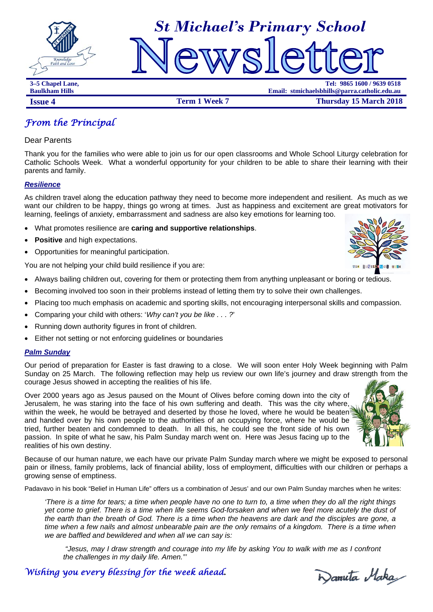



**3–5 Chapel Lane, Tel: 9865 1600 / 9639 0518 Baulkham Hills Email: stmichaelsbhills@parra.catholic.edu.au Issue 4 Term 1 Week 7 Thursday 15 March 2018** 

*From the Principal* 

Dear Parents

Thank you for the families who were able to join us for our open classrooms and Whole School Liturgy celebration for Catholic Schools Week. What a wonderful opportunity for your children to be able to share their learning with their parents and family.

### *Resilience*

As children travel along the education pathway they need to become more independent and resilient. As much as we want our children to be happy, things go wrong at times. Just as happiness and excitement are great motivators for learning, feelings of anxiety, embarrassment and sadness are also key emotions for learning too.

- What promotes resilience are **caring and supportive relationships**.
- **Positive** and high expectations.
- Opportunities for meaningful participation.

You are not helping your child build resilience if you are:

- Always bailing children out, covering for them or protecting them from anything unpleasant or boring or tedious.
- Becoming involved too soon in their problems instead of letting them try to solve their own challenges.
- Placing too much emphasis on academic and sporting skills, not encouraging interpersonal skills and compassion.
- Comparing your child with others: '*Why can't you be like . . . ?*'
- Running down authority figures in front of children.
- Either not setting or not enforcing guidelines or boundaries

### *Palm Sunday*

Our period of preparation for Easter is fast drawing to a close. We will soon enter Holy Week beginning with Palm Sunday on 25 March. The following reflection may help us review our own life's journey and draw strength from the courage Jesus showed in accepting the realities of his life.

Over 2000 years ago as Jesus paused on the Mount of Olives before coming down into the city of Jerusalem, he was staring into the face of his own suffering and death. This was the city where, within the week, he would be betrayed and deserted by those he loved, where he would be beaten and handed over by his own people to the authorities of an occupying force, where he would be tried, further beaten and condemned to death. In all this, he could see the front side of his own passion. In spite of what he saw, his Palm Sunday march went on. Here was Jesus facing up to the realities of his own destiny.

Because of our human nature, we each have our private Palm Sunday march where we might be exposed to personal pain or illness, family problems, lack of financial ability, loss of employment, difficulties with our children or perhaps a growing sense of emptiness.

Padavavo in his book "Belief in Human Life" offers us a combination of Jesus' and our own Palm Sunday marches when he writes:

*'There is a time for tears; a time when people have no one to turn to, a time when they do all the right things yet come to grief. There is a time when life seems God-forsaken and when we feel more acutely the dust of the earth than the breath of God. There is a time when the heavens are dark and the disciples are gone, a time when a few nails and almost unbearable pain are the only remains of a kingdom. There is a time when we are baffled and bewildered and when all we can say is:* 

 *"Jesus, may I draw strength and courage into my life by asking You to walk with me as I confront the challenges in my daily life. Amen."'* 

*Wishing you every blessing for the week ahead.* 





Danuta Maka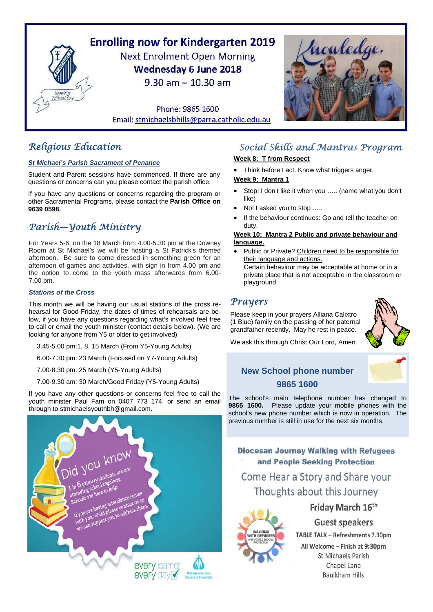

# *Religious Education*

### *St Michael's Parish Sacrament of Penance*

Student and Parent sessions have commenced. If there are any questions or concerns can you please contact the parish office.

If you have any questions or concerns regarding the program or other Sacramental Programs, please contact the **Parish Office on 9639 0598.**

# *Parish—Youth Ministry*

For Years 5-6, on the 18 March from 4.00-5.30 pm at the Downey Room at St Michael's we will be hosting a St Patrick's themed afternoon. Be sure to come dressed in something green for an afternoon of games and activities, with sign in from 4.00 pm and the option to come to the youth mass afterwards from 6.00- 7.00 pm.

### *Stations of the Cross*

This month we will be having our usual stations of the cross rehearsal for Good Friday, the dates of times of rehearsals are below, if you have any questions regarding what's involved feel free to call or email the youth minister (contact details below). (We are looking for anyone from Y5 or older to get involved)

3.45-5.00 pm:1, 8, 15 March (From Y5-Young Adults)

6.00-7.30 pm: 23 March (Focused on Y7-Young Adults)

7.00-8.30 pm: 25 March (Y5-Young Adults)

7.00-9.30 am: 30 March/Good Friday (Y5-Young Adults)

If you have any other questions or concerns feel free to call the youth minister Paul Fam on 0407 773 174, or send an email through to stmichaelsyouthbh@gmail.com.



# *Social Skills and Mantras Program.*

### **Week 8: T from Respect**

Think before I act. Know what triggers anger*.*

### **Week 9: Mantra 1**

- Stop! I don't like it when you ….. (name what you don't like)
- No! I asked you to stop …..
- If the behaviour continues: Go and tell the teacher on duty.

### **Week 10: Mantra 2 Public and private behaviour and language.**

 Public or Private? Children need to be responsible for their language and actions.

Certain behaviour may be acceptable at home or in a private place that is not acceptable in the classroom or playground.

# *Prayers*

Please keep in your prayers Alliana Calixtro (1 Blue) family on the passing of her paternal grandfather recently. May he rest in peace.



We ask this through Christ Our Lord, Amen.

**New School phone number 9865 1600** 

The school's main telephone number has changed to **9865 1600.** Please update your mobile phones with the school's new phone number which is now in operation. The previous number is still in use for the next six months.

**Diocesan Journey Walking with Refugees** and People Seeking Protection

Come Hear a Story and Share your Thoughts about this Journey



# Friday March 16th

**Guest speakers** 

TABLE TALK - Refreshments 7.30pm All Welcome - Finish at 9:30pm St Michaels Parish Chapel Lane

**Baulkham Hills**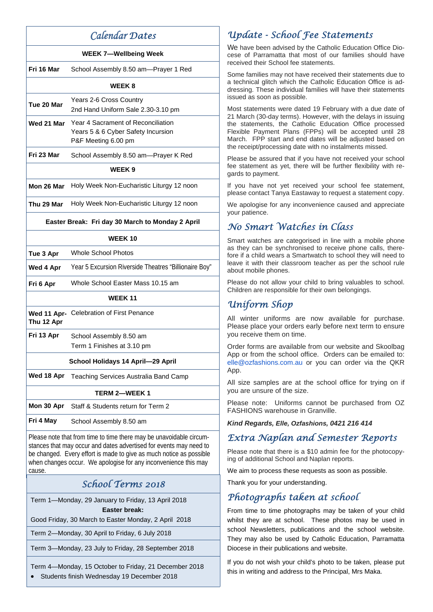# *Calendar Dates*

### **WEEK 7—Wellbeing Week**

**Fri 16 Mar** School Assembly 8.50 am—Prayer 1 Red

### **WEEK 8**

| Tue 20 Mar | Years 2-6 Cross Country            |
|------------|------------------------------------|
|            | 2nd Hand Uniform Sale 2.30-3.10 pm |
|            |                                    |

- **Wed 21 Mar** Year 4 Sacrament of Reconciliation Years 5 & 6 Cyber Safety Incursion P&F Meeting 6.00 pm
- **Fri 23 Mar** School Assembly 8.50 am—Prayer K Red

### **WEEK 9**

**Mon 26 Mar** Holy Week Non-Eucharistic Liturgy 12 noon

**Thu 29 Mar** Holy Week Non-Eucharistic Liturgy 12 noon

### **Easter Break: Fri day 30 March to Monday 2 April**

### **WEEK 10**

| Tue 3 Apr | Whole School Photos                                   |
|-----------|-------------------------------------------------------|
| Wed 4 Apr | Year 5 Excursion Riverside Theatres "Billionaire Boy" |
|           |                                                       |

**Fri 6 Apr** Whole School Easter Mass 10.15 am

### **WEEK 11**

**Wed 11 Apr-**Celebration of First Penance **Thu 12 Apr** 

**Fri 13 Apr** School Assembly 8.50 am Term 1 Finishes at 3.10 pm

### **School Holidays 14 April—29 April**

**Wed 18 Apr** Teaching Services Australia Band Camp

### **TERM 2—WEEK 1**

**Mon 30 Apr** Staff & Students return for Term 2

**Fri 4 May** School Assembly 8.50 am

Please note that from time to time there may be unavoidable circumstances that may occur and dates advertised for events may need to be changed. Every effort is made to give as much notice as possible when changes occur. We apologise for any inconvenience this may cause.

# *School Terms 2018*

Term 1—Monday, 29 January to Friday, 13 April 2018 **Easter break:** 

Good Friday, 30 March to Easter Monday, 2 April 2018

Term 2—Monday, 30 April to Friday, 6 July 2018

Term 3—Monday, 23 July to Friday, 28 September 2018

### Term 4—Monday, 15 October to Friday, 21 December 2018

Students finish Wednesday 19 December 2018

# *Update - School Fee Statements*

We have been advised by the Catholic Education Office Diocese of Parramatta that most of our families should have received their School fee statements.

Some families may not have received their statements due to a technical glitch which the Catholic Education Office is addressing. These individual families will have their statements issued as soon as possible.

Most statements were dated 19 February with a due date of 21 March (30-day terms). However, with the delays in issuing the statements, the Catholic Education Office processed Flexible Payment Plans (FPPs) will be accepted until 28 March. FPP start and end dates will be adjusted based on the receipt/processing date with no instalments missed.

Please be assured that if you have not received your school fee statement as yet, there will be further flexibility with regards to payment.

If you have not yet received your school fee statement, please contact Tanya Eastaway to request a statement copy.

We apologise for any inconvenience caused and appreciate your patience.

# *No Smart Watches in Class*

Smart watches are categorised in line with a mobile phone as they can be synchronised to receive phone calls, therefore if a child wears a Smartwatch to school they will need to leave it with their classroom teacher as per the school rule about mobile phones.

Please do not allow your child to bring valuables to school. Children are responsible for their own belongings.

# *Uniform Shop*

All winter uniforms are now available for purchase. Please place your orders early before next term to ensure you receive them on time.

Order forms are available from our website and Skoolbag App or from the school office. Orders can be emailed to: elle@ozfashions.com.au or you can order via the QKR App.

All size samples are at the school office for trying on if you are unsure of the size.

Please note: Uniforms cannot be purchased from OZ FASHIONS warehouse in Granville.

*Kind Regards, Elle, Ozfashions, 0421 216 414* 

# *Extra Naplan and Semester Reports*

Please note that there is a \$10 admin fee for the photocopying of additional School and Naplan reports.

We aim to process these requests as soon as possible.

Thank you for your understanding.

# *Photographs taken at school*

From time to time photographs may be taken of your child whilst they are at school. These photos may be used in school Newsletters, publications and the school website. They may also be used by Catholic Education, Parramatta Diocese in their publications and website.

If you do not wish your child's photo to be taken, please put this in writing and address to the Principal, Mrs Maka.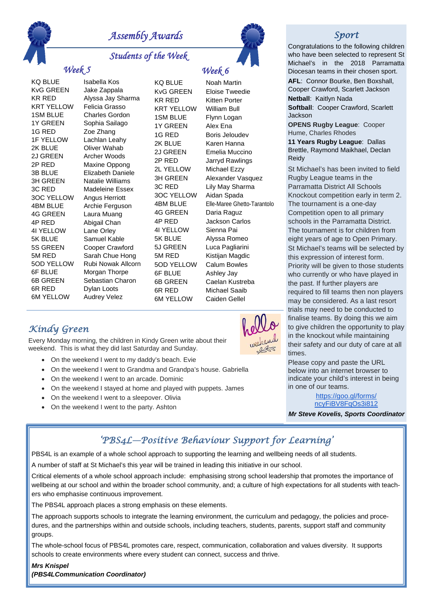

# *Assembly Awards*

*Students of the Week* 

# *Week 6*

# *Week 5*

KvG GREEN Jake Zappala 1G RED Zoe Zhang 2K BLUE Oliver Wahab 4G GREEN Laura Muang 4P RED Abigail Chan 4I YELLOW Lane Orley 6R RED Dylan Loots

KQ BLUE Isabella Kos KR RED Alyssa Jay Sharma KRT YELLOW Felicia Grasso 1SM BLUE Charles Gordon 1Y GREEN Sophia Sailago 1F YELLOW Lachlan Leahy 2J GREEN Archer Woods 2P RED Maxine Oppong 3B BLUE Elizabeth Daniele 3H GREEN Natalie Williams 3C RED Madeleine Essex 3OC YELLOW Angus Herriott 4BM BLUE Archie Ferguson 5K BLUE Samuel Kable 5S GREEN Cooper Crawford 5M RED Sarah Chue Hong 5OD YELLOW Rubi Nowak Allcorn 6F BLUE Morgan Thorpe 6B GREEN Sebastian Charon 6M YELLOW Audrey Velez

KQ BLUE Noah Martin KvG GREEN Eloise Tweedie KR RED Kitten Porter KRT YELLOW William Bull 1G RED Boris Jeloudev 2K BLUE Karen Hanna 2J GREEN Emelia Muccino 2P RED Jarryd Rawlings 2L YELLOW Michael Ezzy 3OC YELLOW Aidan Spada 4G GREEN Daria Raguz 4P RED Jackson Carlos 4I YELLOW Sienna Pai 5K BLUE Alyssa Romeo 5J GREEN Luca Pagliarini 5M RED Kistijan Magdic 5OD YELLOW Calum Bowles 6F BLUE Ashley Jay 6R RED Michael Saaib 6M YELLOW Caiden Gellel

3H GREEN Alexander Vasquez 3C RED Lily May Sharma 4BM BLUE Elle-Maree Ghetto-Tarantolo 6B GREEN Caelan Kustreba

*Sport*

Congratulations to the following children who have been selected to represent St Michael's in the 2018 Parramatta Diocesan teams in their chosen sport.

**AFL**: Connor Bourke, Ben Boxshall, Cooper Crawford, Scarlett Jackson **Netball**: Kaitlyn Nada

**Softball: Cooper Crawford, Scarlett** Jackson

**OPENS Rugby League**: Cooper Hume, Charles Rhodes

**11 Years Rugby League**: Dallas Brettle, Raymond Maikhael, Declan Reidy

St Michael's has been invited to field Rugby League teams in the Parramatta District All Schools Knockout competition early in term 2. The tournament is a one-day Competition open to all primary schools in the Parramatta District. The tournament is for children from eight years of age to Open Primary. St Michael's teams will be selected by this expression of interest form. Priority will be given to those students who currently or who have played in the past. If further players are required to fill teams then non players may be considered. As a last resort trials may need to be conducted to finalise teams. By doing this we aim to give children the opportunity to play in the knockout while maintaining their safety and our duty of care at all times.

Please copy and paste the URL below into an internet browser to indicate your child's interest in being in one of our teams.

> https://goo.gl/forms/ ncyFiBV8FqOs3i812

*Mr Steve Kovelis, Sports Coordinator* 

# *Kindy Green*

Every Monday morning, the children in Kindy Green write about their weekend. This is what they did last Saturday and Sunday.

- On the weekend I went to my daddy's beach. Evie
- On the weekend I went to Grandma and Grandpa's house. Gabriella
- On the weekend I went to an arcade. Dominic
- On the weekend I stayed at home and played with puppets. James
- On the weekend I went to a sleepover. Olivia
- On the weekend I went to the party. Ashton



# *'PBS4L—Positive Behaviour Support for Learning'*

PBS4L is an example of a whole school approach to supporting the learning and wellbeing needs of all students.

A number of staff at St Michael's this year will be trained in leading this initiative in our school.

Critical elements of a whole school approach include: emphasising strong school leadership that promotes the importance of wellbeing at our school and within the broader school community, and; a culture of high expectations for all students with teachers who emphasise continuous improvement.

The PBS4L approach places a strong emphasis on these elements.

The approach supports schools to integrate the learning environment, the curriculum and pedagogy, the policies and procedures, and the partnerships within and outside schools, including teachers, students, parents, support staff and community groups.

The whole-school focus of PBS4L promotes care, respect, communication, collaboration and values diversity. It supports schools to create environments where every student can connect, success and thrive.

### *Mrs Knispel*

*(PBS4LCommunication Coordinator)* 

# 1SM BLUE Flynn Logan 1Y GREEN Alex Ena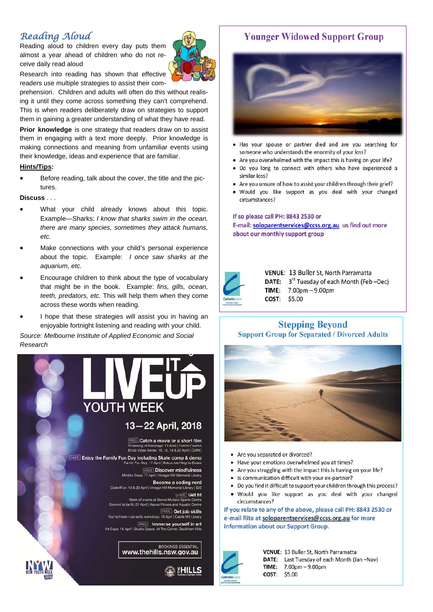# *Reading Aloud*

Reading aloud to children every day puts them almost a year ahead of children who do not receive daily read aloud



Research into reading has shown that effective readers use multiple strategies to assist their com-

prehension. Children and adults will often do this without realising it until they come across something they can't comprehend. This is when readers deliberately draw on strategies to support them in gaining a greater understanding of what they have read.

**Prior knowledge** is one strategy that readers draw on to assist them in engaging with a text more deeply. Prior knowledge is making connections and meaning from unfamiliar events using their knowledge, ideas and experience that are familiar.

### **Hints/Tips:**

 Before reading, talk about the cover, the title and the pictures.

### **Discuss** . . .

- What your child already knows about this topic. Example—Sharks: *I know that sharks swim in the ocean, there are many species, sometimes they attack humans, etc.*
- Make connections with your child's personal experience about the topic. Example: *I once saw sharks at the aquarium, etc.*
- Encourage children to think about the type of vocabulary that might be in the book. Example: *fins, gills, ocean, teeth, predators, etc.* This will help them when they come across these words when reading.
- I hope that these strategies will assist you in having an enjoyable fortnight listening and reading with your child.

*Source: Melbourne Institute of Applied Economic and Social Research* 



# **Younger Widowed Support Group**



- . Has your spouse or partner died and are you searching for someone who understands the enormity of your loss?
- Are you overwhelmed with the impact this is having on your life?
- Do you long to connect with others who have experienced a similar loss?
- Are you unsure of how to assist your children through their grief?
- Would you like support as you deal with your changed circumstances?

### If so please call PH: 8843 2530 or E-mail: soloparentservices@ccss.org.au us find out more about our monthly support group



VENUE: 13 Buller St, North Parramatta DATE: 3rd Tuesday of each Month (Feb -Dec) TIME:  $7.00<sub>pm</sub> - 9.00<sub>pm</sub>$ COST: \$5.00

## **Stepping Bevond Support Group for Separated / Divorced Adults**



- Are you separated or divorced?
- Have your emotions overwhelmed you at times?
- Are you struggling with the impact this is having on your life?
- Is communication difficult with your ex-partner?
- Do you find it difficult to support your children through this process?
- Would you like support as you deal with your changed circumstances?

If you relate to any of the above, please call PH: 8843 2530 or e-mail Rita at soloparentservices@ccss.org.au for more information about our Support Group.



VENUE: 13 Buller St, North Parramatta DATE: Last Tuesday of each Month (Jan -Nov) TIME:  $7.00<sub>pm</sub> - 9.00<sub>pm</sub>$ COST: \$5.00